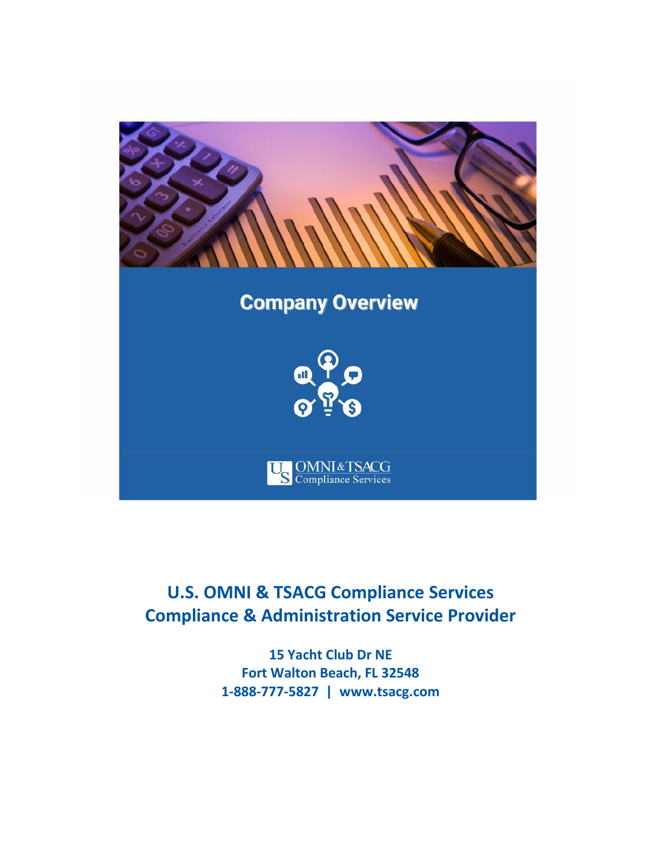

# **U.S. OMNI & TSACG Compliance Services Compliance & Administration Service Provider**

**15 Yacht Club Dr NE Fort Walton Beach, FL 32548 1-888-777-5827 | [www.tsacg.com](http://www.tsacg.com/)**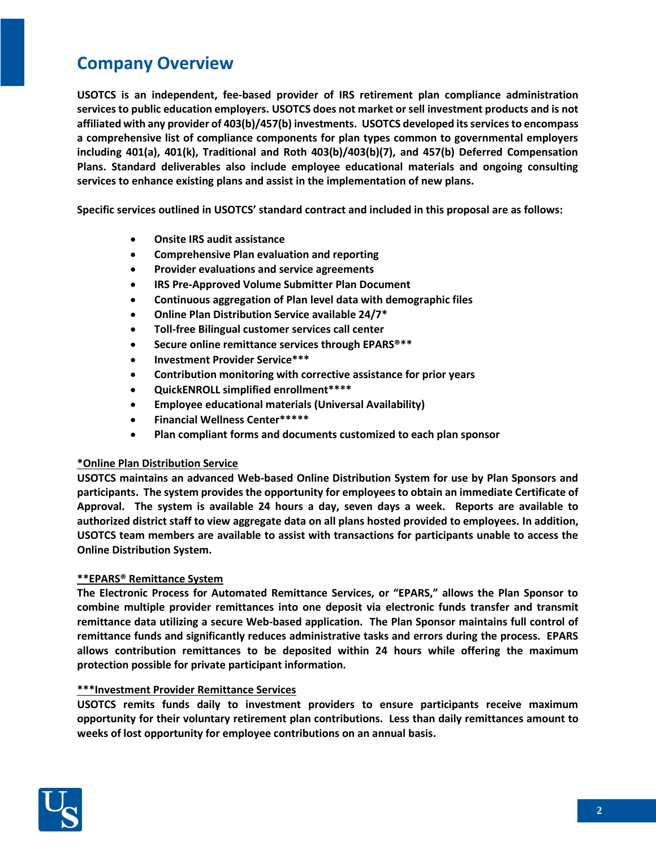# **Company Overview**

**USOTCS is an independent, fee-based provider of IRS retirement plan compliance administration services to public education employers. USOTCS does not market or sell investment products and is not affiliated with any provider of 403(b)/457(b) investments. USOTCS developed its servicesto encompass a comprehensive list of compliance components for plan types common to governmental employers including 401(a), 401(k), Traditional and Roth 403(b)/403(b)(7), and 457(b) Deferred Compensation Plans. Standard deliverables also include employee educational materials and ongoing consulting services to enhance existing plans and assist in the implementation of new plans.** 

**Specific services outlined in USOTCS' standard contract and included in this proposal are as follows:**

- **Onsite IRS audit assistance**
- **Comprehensive Plan evaluation and reporting**
- **Provider evaluations and service agreements**
- **IRS Pre-Approved Volume Submitter Plan Document**
- **Continuous aggregation of Plan level data with demographic files**
- **Online Plan Distribution Service available 24/7\***
- **Toll-free Bilingual customer services call center**
- **Secure online remittance services through EPARS<sup>®\*\*</sup>**
- **Investment Provider Service\*\*\***
- **Contribution monitoring with corrective assistance for prior years**
- **QuickENROLL simplified enrollment\*\*\*\***
- **Employee educational materials (Universal Availability)**
- **Financial Wellness Center\*\*\*\*\***
- **Plan compliant forms and documents customized to each plan sponsor**

# **\*Online Plan Distribution Service**

**USOTCS maintains an advanced Web-based Online Distribution System for use by Plan Sponsors and participants. The system provides the opportunity for employees to obtain an immediate Certificate of Approval. The system is available 24 hours a day, seven days a week. Reports are available to authorized district staff to view aggregate data on all plans hosted provided to employees. In addition, USOTCS team members are available to assist with transactions for participants unable to access the Online Distribution System.**

# **\*\*EPARS® Remittance System**

**The Electronic Process for Automated Remittance Services, or "EPARS," allows the Plan Sponsor to combine multiple provider remittances into one deposit via electronic funds transfer and transmit remittance data utilizing a secure Web-based application. The Plan Sponsor maintains full control of remittance funds and significantly reduces administrative tasks and errors during the process. EPARS allows contribution remittances to be deposited within 24 hours while offering the maximum protection possible for private participant information.** 

# **\*\*\*Investment Provider Remittance Services**

**USOTCS remits funds daily to investment providers to ensure participants receive maximum opportunity for their voluntary retirement plan contributions. Less than daily remittances amount to weeks of lost opportunity for employee contributions on an annual basis.** 

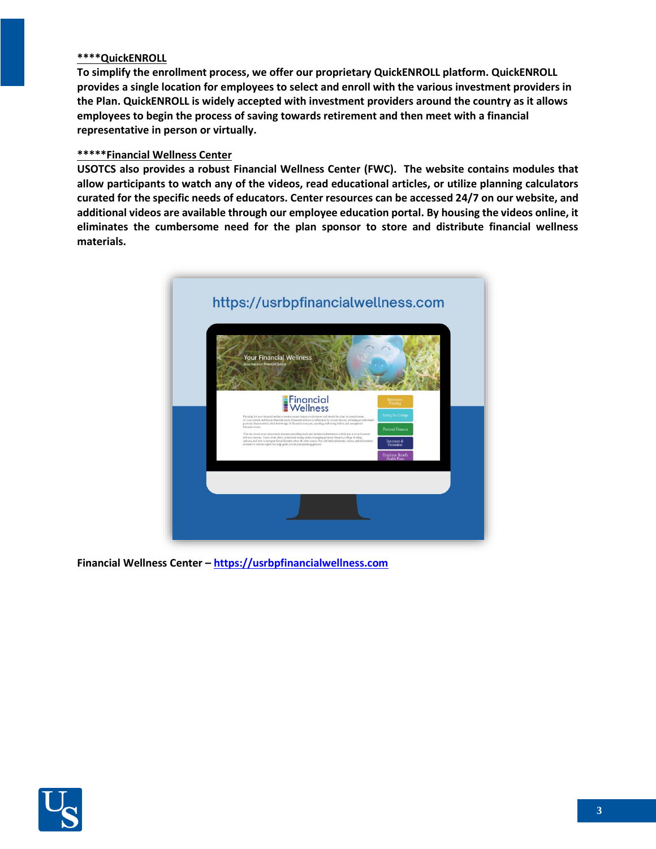#### **\*\*\*\*QuickENROLL**

**To simplify the enrollment process, we offer our proprietary QuickENROLL platform. QuickENROLL provides a single location for employees to select and enroll with the various investment providers in the Plan. QuickENROLL is widely accepted with investment providers around the country as it allows employees to begin the process of saving towards retirement and then meet with a financial representative in person or virtually.** 

#### **\*\*\*\*\*Financial Wellness Center**

**USOTCS also provides a robust Financial Wellness Center (FWC). The website contains modules that allow participants to watch any of the videos, read educational articles, or utilize planning calculators curated for the specific needs of educators. Center resources can be accessed 24/7 on our website, and additional videos are available through our employee education portal. By housing the videos online, it eliminates the cumbersome need for the plan sponsor to store and distribute financial wellness materials.**



**Financial Wellness Center – [https://usrbpfinancialwellness.com](https://usrbpfinancialwellness.com/)**

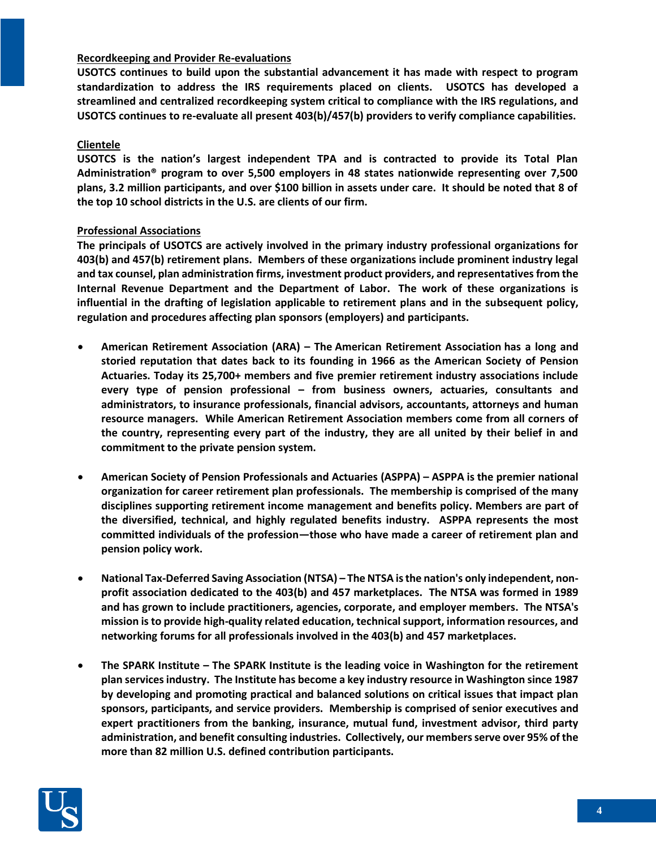# **Recordkeeping and Provider Re-evaluations**

**USOTCS continues to build upon the substantial advancement it has made with respect to program standardization to address the IRS requirements placed on clients. USOTCS has developed a streamlined and centralized recordkeeping system critical to compliance with the IRS regulations, and USOTCS continues to re-evaluate all present 403(b)/457(b) providers to verify compliance capabilities.** 

#### **Clientele**

**USOTCS is the nation's largest independent TPA and is contracted to provide its Total Plan Administration® program to over 5,500 employers in 48 states nationwide representing over 7,500 plans, 3.2 million participants, and over \$100 billion in assets under care. It should be noted that 8 of the top 10 school districts in the U.S. are clients of our firm.**

#### **Professional Associations**

**The principals of USOTCS are actively involved in the primary industry professional organizations for 403(b) and 457(b) retirement plans. Members of these organizations include prominent industry legal and tax counsel, plan administration firms, investment product providers, and representatives from the Internal Revenue Department and the Department of Labor. The work of these organizations is influential in the drafting of legislation applicable to retirement plans and in the subsequent policy, regulation and procedures affecting plan sponsors (employers) and participants.**

- **American Retirement Association (ARA) – The American Retirement Association has a long and storied reputation that dates back to its founding in 1966 as the American Society of Pension Actuaries. Today its 25,700+ members and five premier retirement industry associations include every type of pension professional – from business owners, actuaries, consultants and administrators, to insurance professionals, financial advisors, accountants, attorneys and human resource managers. While American Retirement Association members come from all corners of the country, representing every part of the industry, they are all united by their belief in and commitment to the private pension system.**
- **American Society of Pension Professionals and Actuaries (ASPPA) – ASPPA is the premier national organization for career retirement plan professionals. The membership is comprised of the many disciplines supporting retirement income management and benefits policy. Members are part of the diversified, technical, and highly regulated benefits industry. ASPPA represents the most committed individuals of the profession—those who have made a career of retirement plan and pension policy work.**
- **National Tax-Deferred Saving Association (NTSA) – The NTSA is the nation's only independent, nonprofit association dedicated to the 403(b) and 457 marketplaces. The NTSA was formed in 1989 and has grown to include practitioners, agencies, corporate, and employer members. The NTSA's mission is to provide high-quality related education, technical support, information resources, and networking forums for all professionals involved in the 403(b) and 457 marketplaces.**
- **The SPARK Institute – The SPARK Institute is the leading voice in Washington for the retirement plan services industry. The Institute has become a key industry resource in Washington since 1987 by developing and promoting practical and balanced solutions on critical issues that impact plan sponsors, participants, and service providers. Membership is comprised of senior executives and expert practitioners from the banking, insurance, mutual fund, investment advisor, third party administration, and benefit consulting industries. Collectively, our members serve over 95% of the more than 82 million U.S. defined contribution participants.**